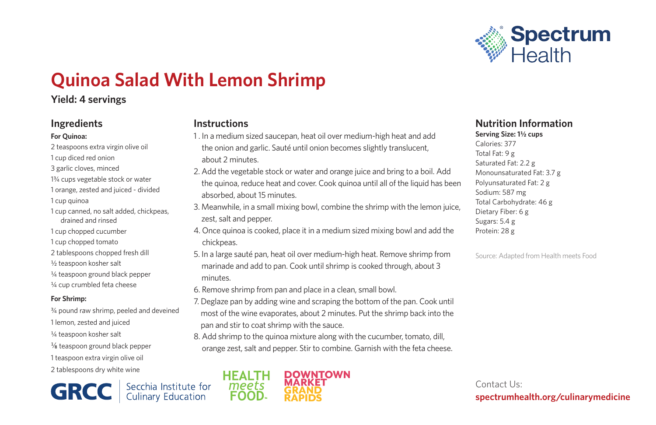

# **Quinoa Salad With Lemon Shrimp**

## **Yield: 4 servings**

## **Ingredients**

#### **For Quinoa:**

- 2 teaspoons extra virgin olive oil 1 cup diced red onion 3 garlic cloves, minced 13/4 cups vegetable stock or water 1 orange, zested and juiced - divided 1 cup quinoa 1 cup canned, no salt added, chickpeas,
- drained and rinsed
- 1 cup chopped cucumber
- 1 cup chopped tomato
- 2 tablespoons chopped fresh dill
- 1/2 teaspoon kosher salt
- 1/4 teaspoon ground black pepper
- 1/4 cup crumbled feta cheese

#### **For Shrimp:**

3/4 pound raw shrimp, peeled and deveined 1 lemon, zested and juiced 1/4 teaspoon kosher salt 1/8 teaspoon ground black pepper 1 teaspoon extra virgin olive oil 2 tablespoons dry white wine

**GRCC** Secchia Institute for

## **Instructions**

- 1 . In a medium sized saucepan, heat oil over medium-high heat and add the onion and garlic. Sauté until onion becomes slightly translucent, about 2 minutes.
- 2. Add the vegetable stock or water and orange juice and bring to a boil. Add the quinoa, reduce heat and cover. Cook quinoa until all of the liquid has been absorbed, about 15 minutes.
- 3. Meanwhile, in a small mixing bowl, combine the shrimp with the lemon juice, zest, salt and pepper.
- 4. Once quinoa is cooked, place it in a medium sized mixing bowl and add the chickpeas.
- 5. In a large sauté pan, heat oil over medium-high heat. Remove shrimp from marinade and add to pan. Cook until shrimp is cooked through, about 3 minutes.
- 6. Remove shrimp from pan and place in a clean, small bowl.
- 7. Deglaze pan by adding wine and scraping the bottom of the pan. Cook until most of the wine evaporates, about 2 minutes. Put the shrimp back into the pan and stir to coat shrimp with the sauce.
- 8. Add shrimp to the quinoa mixture along with the cucumber, tomato, dill, orange zest, salt and pepper. Stir to combine. Garnish with the feta cheese.



## **Nutrition Information**

**Serving Size: 1½ cups** Calories: 377 Total Fat: 9 g Saturated Fat: 2.2 g Monounsaturated Fat: 3.7 g Polyunsaturated Fat: 2 g Sodium: 587 mg Total Carbohydrate: 46 g Dietary Fiber: 6 g Sugars: 5.4 g Protein: 28 g

Source: Adapted from Health meets Food

Contact Us: **spectrumhealth.org/culinarymedicine**